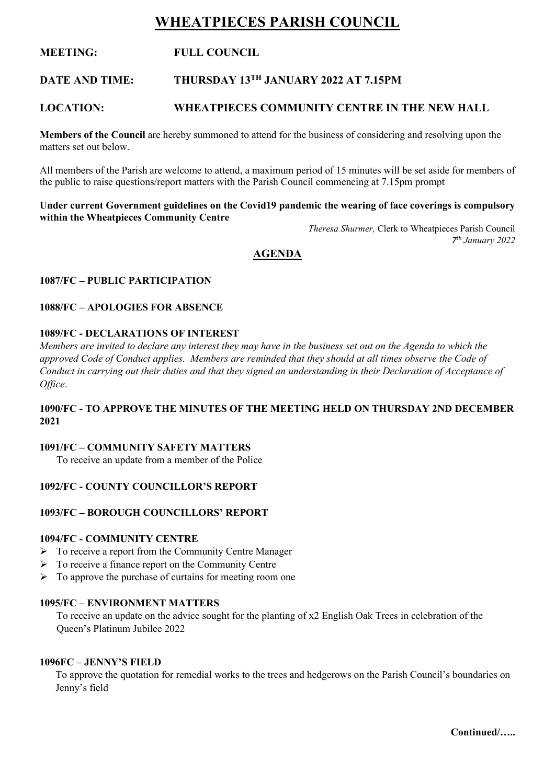# **WHEATPIECES PARISH COUNCIL**

# **MEETING: FULL COUNCIL**

# **DATE AND TIME: THURSDAY 13TH JANUARY 2022 AT 7.15PM**

# **LOCATION: WHEATPIECES COMMUNITY CENTRE IN THE NEW HALL**

**Members of the Council** are hereby summoned to attend for the business of considering and resolving upon the matters set out below.

All members of the Parish are welcome to attend, a maximum period of 15 minutes will be set aside for members of the public to raise questions/report matters with the Parish Council commencing at 7.15pm prompt

#### **Under current Government guidelines on the Covid19 pandemic the wearing of face coverings is compulsory within the Wheatpieces Community Centre**

*Theresa Shurmer,* Clerk to Wheatpieces Parish Council *7 th January 2022*

# **AGENDA**

# **1087/FC – PUBLIC PARTICIPATION**

#### **1088/FC – APOLOGIES FOR ABSENCE**

# **1089/FC - DECLARATIONS OF INTEREST**

*Members are invited to declare any interest they may have in the business set out on the Agenda to which the approved Code of Conduct applies. Members are reminded that they should at all times observe the Code of Conduct in carrying out their duties and that they signed an understanding in their Declaration of Acceptance of Office*.

#### **1090/FC - TO APPROVE THE MINUTES OF THE MEETING HELD ON THURSDAY 2ND DECEMBER 2021**

#### **1091/FC – COMMUNITY SAFETY MATTERS**

To receive an update from a member of the Police

#### **1092/FC - COUNTY COUNCILLOR'S REPORT**

#### **1093/FC – BOROUGH COUNCILLORS' REPORT**

#### **1094/FC - COMMUNITY CENTRE**

- ➢ To receive a report from the Community Centre Manager
- ➢ To receive a finance report on the Community Centre
- $\triangleright$  To approve the purchase of curtains for meeting room one

#### **1095/FC – ENVIRONMENT MATTERS**

To receive an update on the advice sought for the planting of x2 English Oak Trees in celebration of the Queen's Platinum Jubilee 2022

#### **1096FC – JENNY'S FIELD**

To approve the quotation for remedial works to the trees and hedgerows on the Parish Council's boundaries on Jenny's field